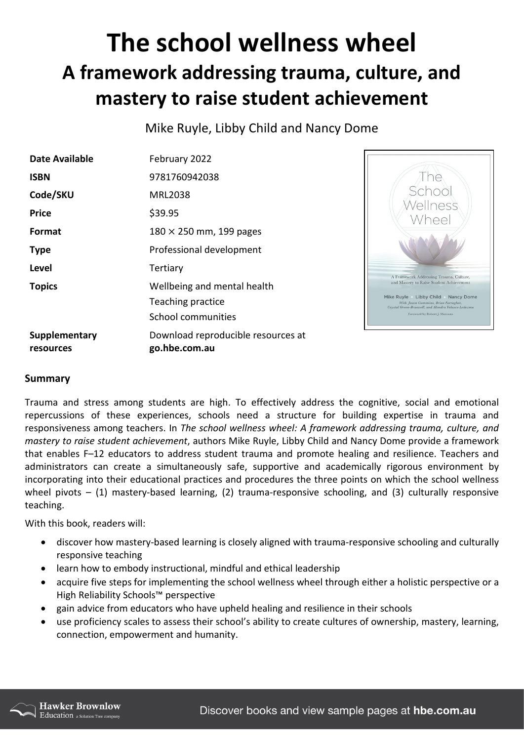## **The school wellness wheel A framework addressing trauma, culture, and mastery to raise student achievement**

Mike Ruyle, Libby Child and Nancy Dome

| Date Available             | February 2022                                       |
|----------------------------|-----------------------------------------------------|
| <b>ISBN</b>                | 9781760942038                                       |
| Code/SKU                   | MRL2038                                             |
| Price                      | \$39.95                                             |
| Format                     | $180 \times 250$ mm, 199 pages                      |
| <b>Type</b>                | Professional development                            |
| Level                      | Tertiary                                            |
| <b>Topics</b>              | Wellbeing and mental health                         |
|                            | Teaching practice                                   |
|                            | School communities                                  |
| Supplementary<br>resources | Download reproducible resources at<br>go.hbe.com.au |



## **Summary**

Trauma and stress among students are high. To effectively address the cognitive, social and emotional repercussions of these experiences, schools need a structure for building expertise in trauma and responsiveness among teachers. In *The school wellness wheel: A framework addressing trauma, culture, and mastery to raise student achievement*, authors Mike Ruyle, Libby Child and Nancy Dome provide a framework that enables F–12 educators to address student trauma and promote healing and resilience. Teachers and administrators can create a simultaneously safe, supportive and academically rigorous environment by incorporating into their educational practices and procedures the three points on which the school wellness wheel pivots  $-$  (1) mastery-based learning, (2) trauma-responsive schooling, and (3) culturally responsive teaching.

With this book, readers will:

- discover how mastery-based learning is closely aligned with trauma-responsive schooling and culturally responsive teaching
- learn how to embody instructional, mindful and ethical leadership
- acquire five steps for implementing the school wellness wheel through either a holistic perspective or a High Reliability Schools™ perspective
- gain advice from educators who have upheld healing and resilience in their schools
- use proficiency scales to assess their school's ability to create cultures of ownership, mastery, learning, connection, empowerment and humanity.